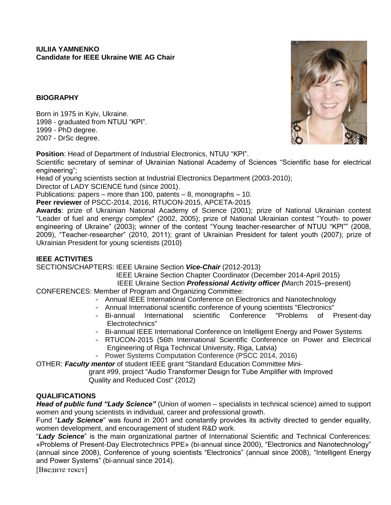## **BIOGRAPHY**

Born in 1975 in Kyiv, Ukraine. 1998 - graduated from NTUU "KPI". 1999 - PhD degree. 2007 - DrSc degree.

**Position**: Head of Department of Industrial Electronics, NTUU "KPI".

Scientific secretary of seminar of Ukrainian National Academy of Sciences "Scientific base for electrical engineering";

Head of young scientists section at Industrial Electronics Department (2003-2010);

Director of LADY SCIENCE fund (since 2001).

Publications: papers – more than 100, patents – 8, monographs – 10.

**Peer reviewer** of PSCC-2014, 2016, RTUCON-2015, APCETA-2015

**Awards**: prize of Ukrainian National Academy of Science (2001); prize of National Ukrainian contest "Leader of fuel and energy complex" (2002, 2005); prize of National Ukrainian contest "Youth- to power engineering of Ukraine" (2003); winner of the contest "Young teacher-researcher of NTUU "KPI"" (2008, 2009), "Teacher-researcher" (2010, 2011); grant of Ukrainian President for talent youth (2007); prize of Ukrainian President for young scientists (2010)

### **IEEE ACTIVITIES**

SECTIONS/CHAPTERS: IEEE Ukraine Section *Vice-Chair* (2012-2013)

IEEE Ukraine Section Chapter Coordinator (December 2014-April 2015)

IEEE Ukraine Section *Professional Activity officer (*March 2015–present)

CONFERENCES: Member of Program and Organizing Committee:

- Annual IEEE International Conference on Electronics and Nanotechnology
- Annual International scientific conference of young scientists "Electronics"
- Bi-annual International scientific Conference "Problems of Present-day Electrotechnics"
- Bi-annual IEEE International Conference on Intelligent Energy and Power Systems
- RTUCON-2015 (56th International Scientific Conference on Power and Electrical Engineering of Riga Technical University, Riga, Latvia)
- Power Systems Computation Conference (PSCC 2014, 2016)

OTHER: *Faculty mentor* of student IEEE grant "Standard Education Committee Mini-

 grant #99, project "Audio Transformer Design for Tube Amplifier with Improved Quality and Reduced Cost" (2012)

# **QUALIFICATIONS**

*Head of public fund "Lady Science"* (Union of women – specialists in technical science) aimed to support women and young scientists in individual, career and professional growth.

Fund "*Lady Science*" was found in 2001 and constantly provides its activity directed to gender equality, women development, and encouragement of student R&D work.

"*Lady Science*" is the main organizational partner of International Scientific and Technical Conferences: «Problems of Present-Day Electrotechnics PPE» (bi-annual since 2000), "Electronics and Nanotechnology" (annual since 2008), Conference of young scientists "Electronics" (annual since 2008), "Intelligent Energy and Power Systems" (bi-annual since 2014).

[Введите текст]